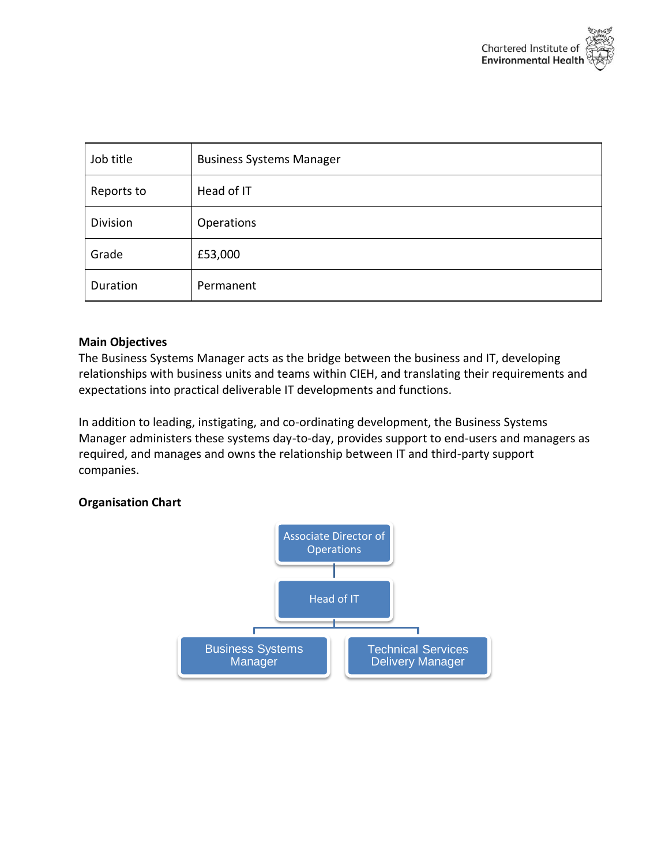

| Job title  | <b>Business Systems Manager</b> |
|------------|---------------------------------|
| Reports to | Head of IT                      |
| Division   | Operations                      |
| Grade      | £53,000                         |
| Duration   | Permanent                       |

## **Main Objectives**

The Business Systems Manager acts as the bridge between the business and IT, developing relationships with business units and teams within CIEH, and translating their requirements and expectations into practical deliverable IT developments and functions.

In addition to leading, instigating, and co-ordinating development, the Business Systems Manager administers these systems day-to-day, provides support to end-users and managers as required, and manages and owns the relationship between IT and third-party support companies.

## **Organisation Chart**

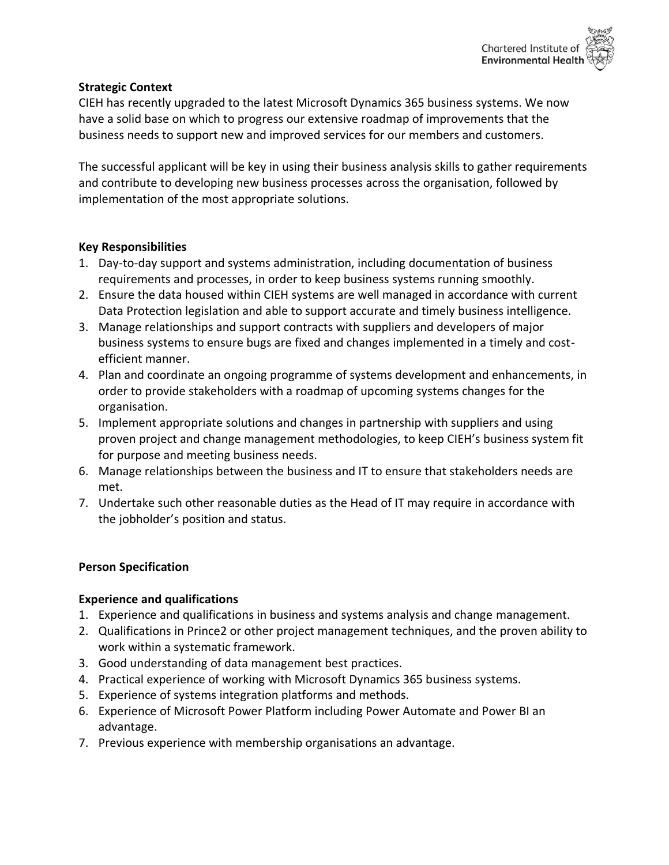

# **Strategic Context**

CIEH has recently upgraded to the latest Microsoft Dynamics 365 business systems. We now have a solid base on which to progress our extensive roadmap of improvements that the business needs to support new and improved services for our members and customers.

The successful applicant will be key in using their business analysis skills to gather requirements and contribute to developing new business processes across the organisation, followed by implementation of the most appropriate solutions.

# **Key Responsibilities**

- 1. Day-to-day support and systems administration, including documentation of business requirements and processes, in order to keep business systems running smoothly.
- 2. Ensure the data housed within CIEH systems are well managed in accordance with current Data Protection legislation and able to support accurate and timely business intelligence.
- 3. Manage relationships and support contracts with suppliers and developers of major business systems to ensure bugs are fixed and changes implemented in a timely and costefficient manner.
- 4. Plan and coordinate an ongoing programme of systems development and enhancements, in order to provide stakeholders with a roadmap of upcoming systems changes for the organisation.
- 5. Implement appropriate solutions and changes in partnership with suppliers and using proven project and change management methodologies, to keep CIEH's business system fit for purpose and meeting business needs.
- 6. Manage relationships between the business and IT to ensure that stakeholders needs are met.
- 7. Undertake such other reasonable duties as the Head of IT may require in accordance with the jobholder's position and status.

## **Person Specification**

## **Experience and qualifications**

- 1. Experience and qualifications in business and systems analysis and change management.
- 2. Qualifications in Prince2 or other project management techniques, and the proven ability to work within a systematic framework.
- 3. Good understanding of data management best practices.
- 4. Practical experience of working with Microsoft Dynamics 365 business systems.
- 5. Experience of systems integration platforms and methods.
- 6. Experience of Microsoft Power Platform including Power Automate and Power BI an advantage.
- 7. Previous experience with membership organisations an advantage.